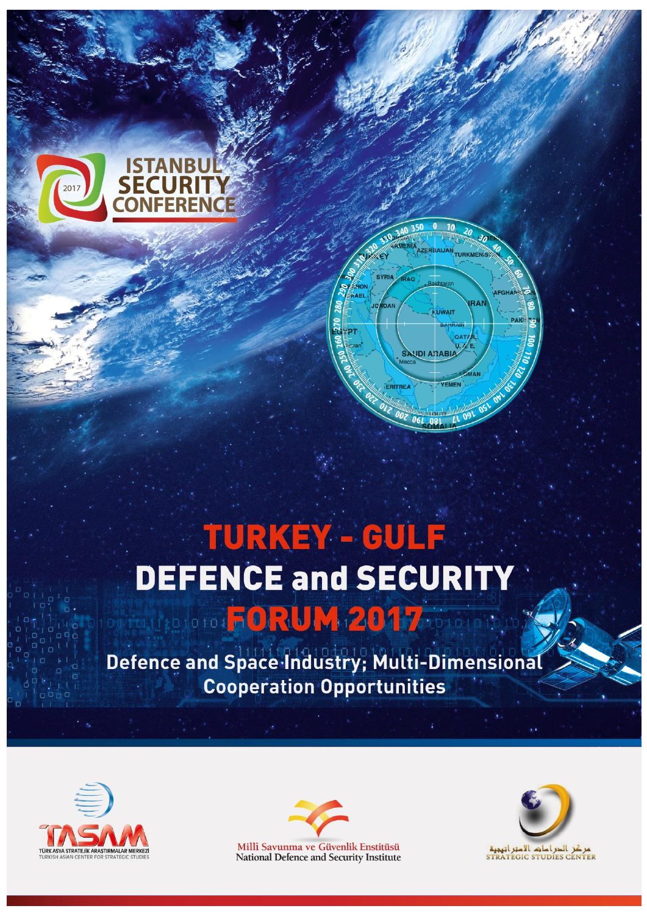

# TURKEY - GULF **DEFENCE and SECURITY** outnuitedorod ORUM 2017

Defence and Space Industry; Multi-Dimensional **Cooperation Opportunities** 





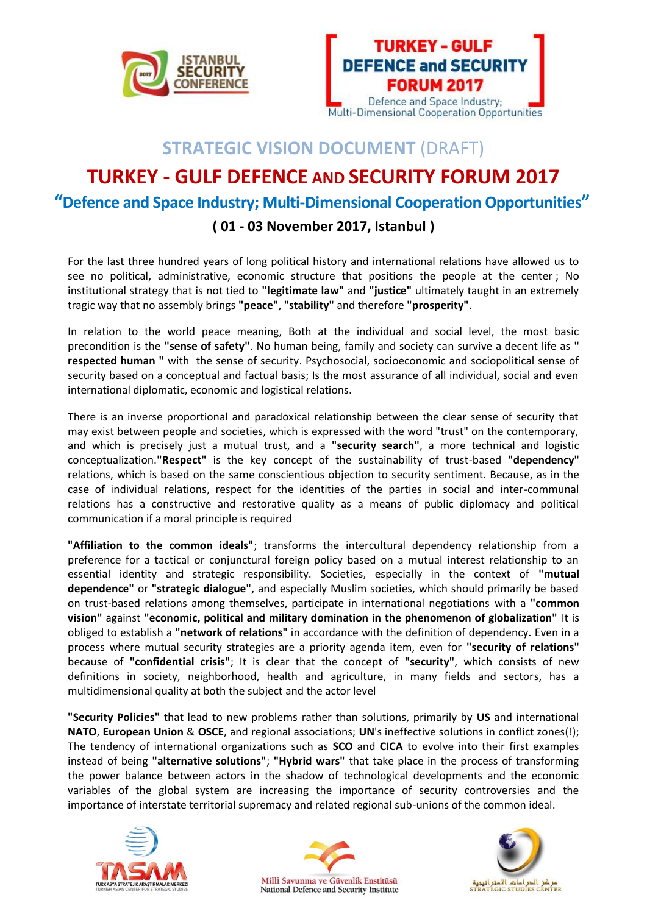



## **STRATEGIC VISION DOCUMENT** (DRAFT)

# **TURKEY - GULF DEFENCE AND SECURITY FORUM 2017**

### **"Defence and Space Industry; Multi-Dimensional Cooperation Opportunities"**

#### **( 01 - 03 November 2017, Istanbul )**

For the last three hundred years of long political history and international relations have allowed us to see no political, administrative, economic structure that positions the people at the center ; No institutional strategy that is not tied to **"legitimate law"** and **"justice"** ultimately taught in an extremely tragic way that no assembly brings **"peace"**, **"stability"** and therefore **"prosperity"**.

In relation to the world peace meaning, Both at the individual and social level, the most basic precondition is the **"sense of safety"**. No human being, family and society can survive a decent life as **" respected human "** with the sense of security. Psychosocial, socioeconomic and sociopolitical sense of security based on a conceptual and factual basis; Is the most assurance of all individual, social and even international diplomatic, economic and logistical relations.

There is an inverse proportional and paradoxical relationship between the clear sense of security that may exist between people and societies, which is expressed with the word "trust" on the contemporary, and which is precisely just a mutual trust, and a **"security search"**, a more technical and logistic conceptualization.**"Respect"** is the key concept of the sustainability of trust-based **"dependency"** relations, which is based on the same conscientious objection to security sentiment. Because, as in the case of individual relations, respect for the identities of the parties in social and inter-communal relations has a constructive and restorative quality as a means of public diplomacy and political communication if a moral principle is required

**"Affiliation to the common ideals"**; transforms the intercultural dependency relationship from a preference for a tactical or conjunctural foreign policy based on a mutual interest relationship to an essential identity and strategic responsibility. Societies, especially in the context of **"mutual dependence"** or **"strategic dialogue"**, and especially Muslim societies, which should primarily be based on trust-based relations among themselves, participate in international negotiations with a **"common vision"** against **"economic, political and military domination in the phenomenon of globalization"** It is obliged to establish a **"network of relations"** in accordance with the definition of dependency. Even in a process where mutual security strategies are a priority agenda item, even for **"security of relations"** because of **"confidential crisis"**; It is clear that the concept of **"security"**, which consists of new definitions in society, neighborhood, health and agriculture, in many fields and sectors, has a multidimensional quality at both the subject and the actor level

**"Security Policies"** that lead to new problems rather than solutions, primarily by **US** and international **NATO**, **European Union** & **OSCE**, and regional associations; **UN**'s ineffective solutions in conflict zones(!); The tendency of international organizations such as **SCO** and **CICA** to evolve into their first examples instead of being **"alternative solutions"**; **"Hybrid wars"** that take place in the process of transforming the power balance between actors in the shadow of technological developments and the economic variables of the global system are increasing the importance of security controversies and the importance of interstate territorial supremacy and related regional sub-unions of the common ideal.





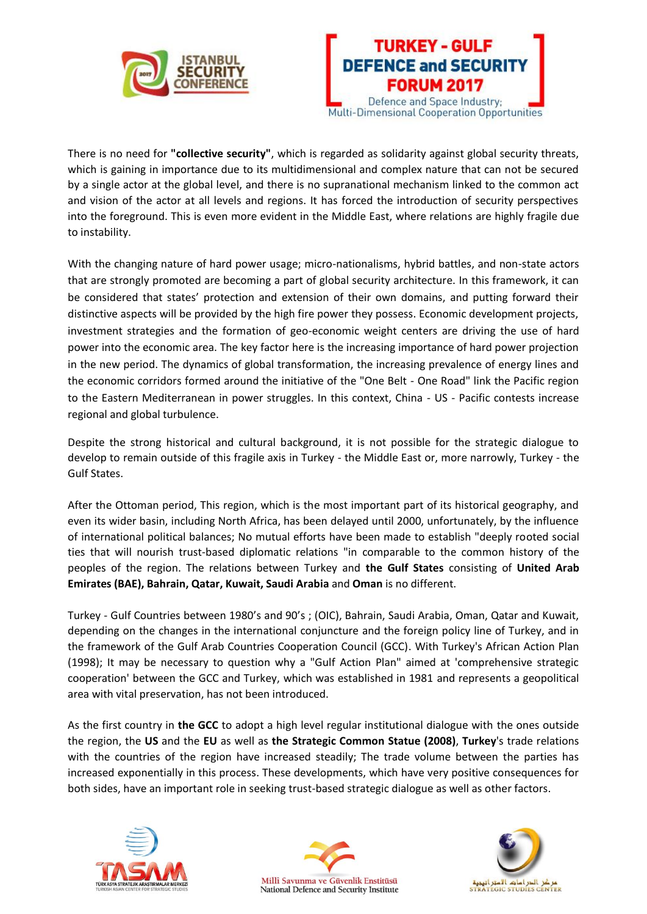



There is no need for **"collective security"**, which is regarded as solidarity against global security threats, which is gaining in importance due to its multidimensional and complex nature that can not be secured by a single actor at the global level, and there is no supranational mechanism linked to the common act and vision of the actor at all levels and regions. It has forced the introduction of security perspectives into the foreground. This is even more evident in the Middle East, where relations are highly fragile due to instability.

With the changing nature of hard power usage; micro-nationalisms, hybrid battles, and non-state actors that are strongly promoted are becoming a part of global security architecture. In this framework, it can be considered that states' protection and extension of their own domains, and putting forward their distinctive aspects will be provided by the high fire power they possess. Economic development projects, investment strategies and the formation of geo-economic weight centers are driving the use of hard power into the economic area. The key factor here is the increasing importance of hard power projection in the new period. The dynamics of global transformation, the increasing prevalence of energy lines and the economic corridors formed around the initiative of the "One Belt - One Road" link the Pacific region to the Eastern Mediterranean in power struggles. In this context, China - US - Pacific contests increase regional and global turbulence.

Despite the strong historical and cultural background, it is not possible for the strategic dialogue to develop to remain outside of this fragile axis in Turkey - the Middle East or, more narrowly, Turkey - the Gulf States.

After the Ottoman period, This region, which is the most important part of its historical geography, and even its wider basin, including North Africa, has been delayed until 2000, unfortunately, by the influence of international political balances; No mutual efforts have been made to establish "deeply rooted social ties that will nourish trust-based diplomatic relations "in comparable to the common history of the peoples of the region. The relations between Turkey and **the Gulf States** consisting of **United Arab Emirates (BAE), Bahrain, Qatar, Kuwait, Saudi Arabia** and **Oman** is no different.

Turkey - Gulf Countries between 1980's and 90's ; (OIC), Bahrain, Saudi Arabia, Oman, Qatar and Kuwait, depending on the changes in the international conjuncture and the foreign policy line of Turkey, and in the framework of the Gulf Arab Countries Cooperation Council (GCC). With Turkey's African Action Plan (1998); It may be necessary to question why a "Gulf Action Plan" aimed at 'comprehensive strategic cooperation' between the GCC and Turkey, which was established in 1981 and represents a geopolitical area with vital preservation, has not been introduced.

As the first country in **the GCC** to adopt a high level regular institutional dialogue with the ones outside the region, the **US** and the **EU** as well as **the Strategic Common Statue (2008)**, **Turkey**'s trade relations with the countries of the region have increased steadily; The trade volume between the parties has increased exponentially in this process. These developments, which have very positive consequences for both sides, have an important role in seeking trust-based strategic dialogue as well as other factors.





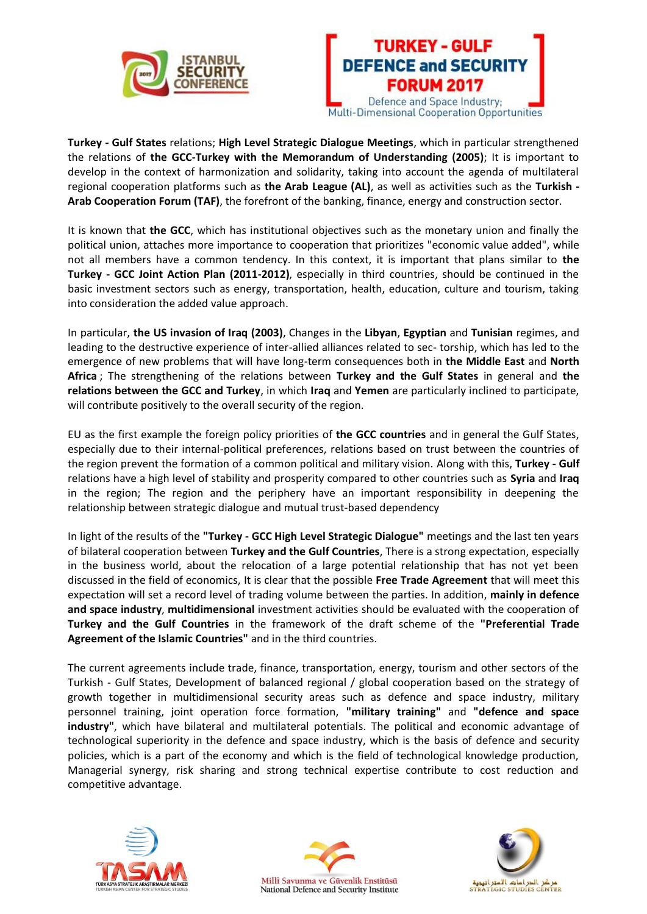



**Turkey - Gulf States** relations; **High Level Strategic Dialogue Meetings**, which in particular strengthened the relations of **the GCC-Turkey with the Memorandum of Understanding (2005)**; It is important to develop in the context of harmonization and solidarity, taking into account the agenda of multilateral regional cooperation platforms such as **the Arab League (AL)**, as well as activities such as the **Turkish - Arab Cooperation Forum (TAF)**, the forefront of the banking, finance, energy and construction sector.

It is known that **the GCC**, which has institutional objectives such as the monetary union and finally the political union, attaches more importance to cooperation that prioritizes "economic value added", while not all members have a common tendency. In this context, it is important that plans similar to **the Turkey - GCC Joint Action Plan (2011-2012)**, especially in third countries, should be continued in the basic investment sectors such as energy, transportation, health, education, culture and tourism, taking into consideration the added value approach.

In particular, **the US invasion of Iraq (2003)**, Changes in the **Libyan**, **Egyptian** and **Tunisian** regimes, and leading to the destructive experience of inter-allied alliances related to sec- torship, which has led to the emergence of new problems that will have long-term consequences both in **the Middle East** and **North Africa** ; The strengthening of the relations between **Turkey and the Gulf States** in general and **the relations between the GCC and Turkey**, in which **Iraq** and **Yemen** are particularly inclined to participate, will contribute positively to the overall security of the region.

EU as the first example the foreign policy priorities of **the GCC countries** and in general the Gulf States, especially due to their internal-political preferences, relations based on trust between the countries of the region prevent the formation of a common political and military vision. Along with this, **Turkey - Gulf** relations have a high level of stability and prosperity compared to other countries such as **Syria** and **Iraq**  in the region; The region and the periphery have an important responsibility in deepening the relationship between strategic dialogue and mutual trust-based dependency

In light of the results of the **"Turkey - GCC High Level Strategic Dialogue"** meetings and the last ten years of bilateral cooperation between **Turkey and the Gulf Countries**, There is a strong expectation, especially in the business world, about the relocation of a large potential relationship that has not yet been discussed in the field of economics, It is clear that the possible **Free Trade Agreement** that will meet this expectation will set a record level of trading volume between the parties. In addition, **mainly in defence and space industry**, **multidimensional** investment activities should be evaluated with the cooperation of **Turkey and the Gulf Countries** in the framework of the draft scheme of the **"Preferential Trade Agreement of the Islamic Countries"** and in the third countries.

The current agreements include trade, finance, transportation, energy, tourism and other sectors of the Turkish - Gulf States, Development of balanced regional / global cooperation based on the strategy of growth together in multidimensional security areas such as defence and space industry, military personnel training, joint operation force formation, **"military training"** and **"defence and space industry"**, which have bilateral and multilateral potentials. The political and economic advantage of technological superiority in the defence and space industry, which is the basis of defence and security policies, which is a part of the economy and which is the field of technological knowledge production, Managerial synergy, risk sharing and strong technical expertise contribute to cost reduction and competitive advantage.





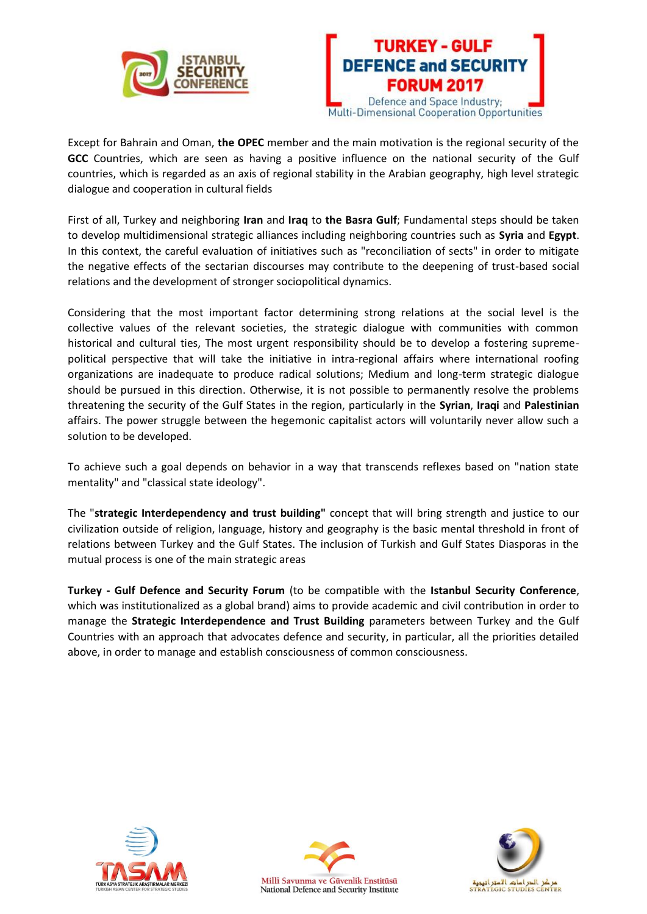



Except for Bahrain and Oman, **the OPEC** member and the main motivation is the regional security of the **GCC** Countries, which are seen as having a positive influence on the national security of the Gulf countries, which is regarded as an axis of regional stability in the Arabian geography, high level strategic dialogue and cooperation in cultural fields

First of all, Turkey and neighboring **Iran** and **Iraq** to **the Basra Gulf**; Fundamental steps should be taken to develop multidimensional strategic alliances including neighboring countries such as **Syria** and **Egypt**. In this context, the careful evaluation of initiatives such as "reconciliation of sects" in order to mitigate the negative effects of the sectarian discourses may contribute to the deepening of trust-based social relations and the development of stronger sociopolitical dynamics.

Considering that the most important factor determining strong relations at the social level is the collective values of the relevant societies, the strategic dialogue with communities with common historical and cultural ties, The most urgent responsibility should be to develop a fostering supremepolitical perspective that will take the initiative in intra-regional affairs where international roofing organizations are inadequate to produce radical solutions; Medium and long-term strategic dialogue should be pursued in this direction. Otherwise, it is not possible to permanently resolve the problems threatening the security of the Gulf States in the region, particularly in the **Syrian**, **Iraqi** and **Palestinian** affairs. The power struggle between the hegemonic capitalist actors will voluntarily never allow such a solution to be developed.

To achieve such a goal depends on behavior in a way that transcends reflexes based on "nation state mentality" and "classical state ideology".

The "**strategic Interdependency and trust building"** concept that will bring strength and justice to our civilization outside of religion, language, history and geography is the basic mental threshold in front of relations between Turkey and the Gulf States. The inclusion of Turkish and Gulf States Diasporas in the mutual process is one of the main strategic areas

**Turkey - Gulf Defence and Security Forum** (to be compatible with the **Istanbul Security Conference**, which was institutionalized as a global brand) aims to provide academic and civil contribution in order to manage the **Strategic Interdependence and Trust Building** parameters between Turkey and the Gulf Countries with an approach that advocates defence and security, in particular, all the priorities detailed above, in order to manage and establish consciousness of common consciousness.